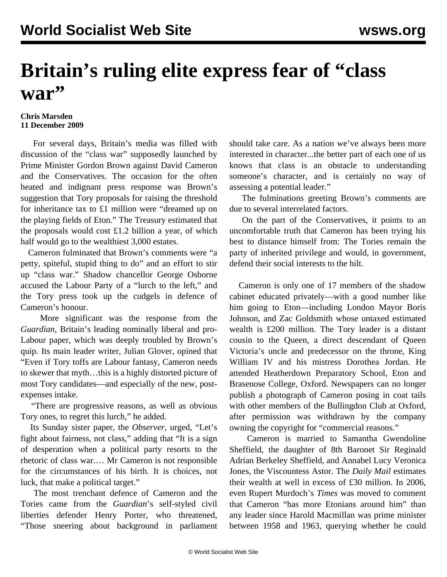## **Britain's ruling elite express fear of "class war"**

## **Chris Marsden 11 December 2009**

 For several days, Britain's media was filled with discussion of the "class war" supposedly launched by Prime Minister Gordon Brown against David Cameron and the Conservatives. The occasion for the often heated and indignant press response was Brown's suggestion that Tory proposals for raising the threshold for inheritance tax to £1 million were "dreamed up on the playing fields of Eton." The Treasury estimated that the proposals would cost £1.2 billion a year, of which half would go to the wealthiest 3,000 estates.

 Cameron fulminated that Brown's comments were "a petty, spiteful, stupid thing to do" and an effort to stir up "class war." Shadow chancellor George Osborne accused the Labour Party of a "lurch to the left," and the Tory press took up the cudgels in defence of Cameron's honour.

 More significant was the response from the *Guardian*, Britain's leading nominally liberal and pro-Labour paper, which was deeply troubled by Brown's quip. Its main leader writer, Julian Glover, opined that "Even if Tory toffs are Labour fantasy, Cameron needs to skewer that myth…this is a highly distorted picture of most Tory candidates—and especially of the new, postexpenses intake.

 "There are progressive reasons, as well as obvious Tory ones, to regret this lurch," he added.

 Its Sunday sister paper, the *Observer*, urged, "Let's fight about fairness, not class," adding that "It is a sign of desperation when a political party resorts to the rhetoric of class war.… Mr Cameron is not responsible for the circumstances of his birth. It is choices, not luck, that make a political target."

 The most trenchant defence of Cameron and the Tories came from the *Guardian*'s self-styled civil liberties defender Henry Porter, who threatened, "Those sneering about background in parliament should take care. As a nation we've always been more interested in character...the better part of each one of us knows that class is an obstacle to understanding someone's character, and is certainly no way of assessing a potential leader."

 The fulminations greeting Brown's comments are due to several interrelated factors.

 On the part of the Conservatives, it points to an uncomfortable truth that Cameron has been trying his best to distance himself from: The Tories remain the party of inherited privilege and would, in government, defend their social interests to the hilt.

 Cameron is only one of 17 members of the shadow cabinet educated privately—with a good number like him going to Eton—including London Mayor Boris Johnson, and Zac Goldsmith whose untaxed estimated wealth is £200 million. The Tory leader is a distant cousin to the Queen, a direct descendant of Queen Victoria's uncle and predecessor on the throne, King William IV and his mistress Dorothea Jordan. He attended Heatherdown Preparatory School, Eton and Brasenose College, Oxford. Newspapers can no longer publish a photograph of Cameron posing in coat tails with other members of the Bullingdon Club at Oxford, after permission was withdrawn by the company owning the copyright for "commercial reasons."

 Cameron is married to Samantha Gwendoline Sheffield, the daughter of 8th Baronet Sir Reginald Adrian Berkeley Sheffield, and Annabel Lucy Veronica Jones, the Viscountess Astor. The *Daily Mail* estimates their wealth at well in excess of £30 million. In 2006, even Rupert Murdoch's *Times* was moved to comment that Cameron "has more Etonians around him" than any leader since Harold Macmillan was prime minister between 1958 and 1963, querying whether he could